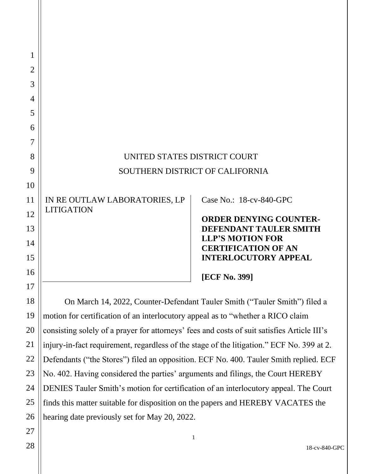| 1              |                                                                                             |                                                       |
|----------------|---------------------------------------------------------------------------------------------|-------------------------------------------------------|
| $\overline{2}$ |                                                                                             |                                                       |
| 3              |                                                                                             |                                                       |
| 4              |                                                                                             |                                                       |
| 5              |                                                                                             |                                                       |
| 6              |                                                                                             |                                                       |
| 7              |                                                                                             |                                                       |
| 8              | UNITED STATES DISTRICT COURT                                                                |                                                       |
| 9              | SOUTHERN DISTRICT OF CALIFORNIA                                                             |                                                       |
| 10             |                                                                                             |                                                       |
| 11             | IN RE OUTLAW LABORATORIES, LP                                                               | Case No.: 18-cv-840-GPC                               |
| 12             | <b>LITIGATION</b>                                                                           | <b>ORDER DENYING COUNTER-</b>                         |
| 13             |                                                                                             | DEFENDANT TAULER SMITH                                |
| 14             |                                                                                             | <b>LLP'S MOTION FOR</b><br><b>CERTIFICATION OF AN</b> |
| 15             |                                                                                             | <b>INTERLOCUTORY APPEAL</b>                           |
| 16             |                                                                                             | <b>[ECF No. 399]</b>                                  |
| 17             |                                                                                             |                                                       |
| 18             | On March 14, 2022, Counter-Defendant Tauler Smith ("Tauler Smith") filed a                  |                                                       |
| 19             | motion for certification of an interlocutory appeal as to "whether a RICO claim             |                                                       |
| 20             | consisting solely of a prayer for attorneys' fees and costs of suit satisfies Article III's |                                                       |
| 21             | injury-in-fact requirement, regardless of the stage of the litigation." ECF No. 399 at 2.   |                                                       |
| 22             | Defendants ("the Stores") filed an opposition. ECF No. 400. Tauler Smith replied. ECF       |                                                       |

Defendants ("the Stores") filed an opposition. ECF No. 400. Tauler Smith replied. ECF No. 402. Having considered the parties' arguments and filings, the Court HEREBY DENIES Tauler Smith's motion for certification of an interlocutory appeal. The Court finds this matter suitable for disposition on the papers and HEREBY VACATES the hearing date previously set for May 20, 2022.

1

23

24

25

26

27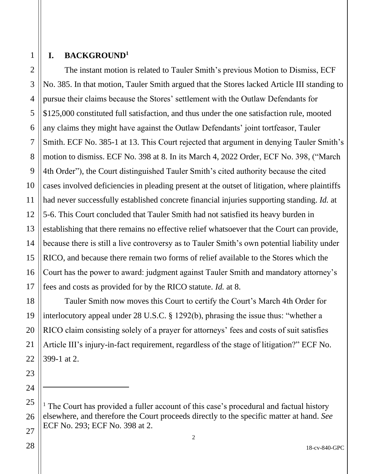1

#### **I. BACKGROUND<sup>1</sup>**

The instant motion is related to Tauler Smith's previous Motion to Dismiss, ECF No. 385. In that motion, Tauler Smith argued that the Stores lacked Article III standing to pursue their claims because the Stores' settlement with the Outlaw Defendants for \$125,000 constituted full satisfaction, and thus under the one satisfaction rule, mooted any claims they might have against the Outlaw Defendants' joint tortfeasor, Tauler Smith. ECF No. 385-1 at 13. This Court rejected that argument in denying Tauler Smith's motion to dismiss. ECF No. 398 at 8. In its March 4, 2022 Order, ECF No. 398, ("March 4th Order"), the Court distinguished Tauler Smith's cited authority because the cited cases involved deficiencies in pleading present at the outset of litigation, where plaintiffs had never successfully established concrete financial injuries supporting standing. *Id.* at 5-6. This Court concluded that Tauler Smith had not satisfied its heavy burden in establishing that there remains no effective relief whatsoever that the Court can provide, because there is still a live controversy as to Tauler Smith's own potential liability under RICO, and because there remain two forms of relief available to the Stores which the Court has the power to award: judgment against Tauler Smith and mandatory attorney's fees and costs as provided for by the RICO statute. *Id.* at 8.

Tauler Smith now moves this Court to certify the Court's March 4th Order for interlocutory appeal under 28 U.S.C. § 1292(b), phrasing the issue thus: "whether a RICO claim consisting solely of a prayer for attorneys' fees and costs of suit satisfies Article III's injury-in-fact requirement, regardless of the stage of litigation?" ECF No. 399-1 at 2.

<sup>&</sup>lt;sup>1</sup> The Court has provided a fuller account of this case's procedural and factual history elsewhere, and therefore the Court proceeds directly to the specific matter at hand. *See*  ECF No. 293; ECF No. 398 at 2.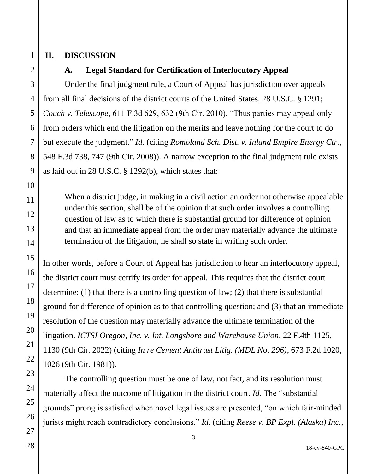## **II. DISCUSSION**

## **A. Legal Standard for Certification of Interlocutory Appeal**

Under the final judgment rule, a Court of Appeal has jurisdiction over appeals from all final decisions of the district courts of the United States. 28 U.S.C. § 1291; *Couch v. Telescope*, 611 F.3d 629, 632 (9th Cir. 2010). "Thus parties may appeal only from orders which end the litigation on the merits and leave nothing for the court to do but execute the judgment." *Id.* (citing *Romoland Sch. Dist. v. Inland Empire Energy Ctr.*, 548 F.3d 738, 747 (9th Cir. 2008)). A narrow exception to the final judgment rule exists as laid out in 28 U.S.C. § 1292(b), which states that:

When a district judge, in making in a civil action an order not otherwise appealable under this section, shall be of the opinion that such order involves a controlling question of law as to which there is substantial ground for difference of opinion and that an immediate appeal from the order may materially advance the ultimate termination of the litigation, he shall so state in writing such order.

In other words, before a Court of Appeal has jurisdiction to hear an interlocutory appeal, the district court must certify its order for appeal. This requires that the district court determine: (1) that there is a controlling question of law; (2) that there is substantial ground for difference of opinion as to that controlling question; and (3) that an immediate resolution of the question may materially advance the ultimate termination of the litigation. *ICTSI Oregon, Inc. v. Int. Longshore and Warehouse Union*, 22 F.4th 1125, 1130 (9th Cir. 2022) (citing *In re Cement Antitrust Litig. (MDL No. 296)*, 673 F.2d 1020, 1026 (9th Cir. 1981)).

The controlling question must be one of law, not fact, and its resolution must materially affect the outcome of litigation in the district court. *Id.* The "substantial grounds" prong is satisfied when novel legal issues are presented, "on which fair-minded jurists might reach contradictory conclusions." *Id.* (citing *Reese v. BP Expl. (Alaska) Inc.*,

1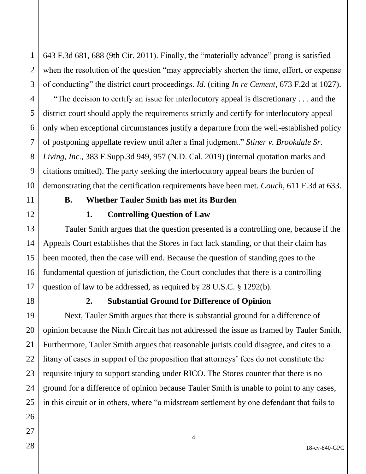643 F.3d 681, 688 (9th Cir. 2011). Finally, the "materially advance" prong is satisfied when the resolution of the question "may appreciably shorten the time, effort, or expense of conducting" the district court proceedings. *Id.* (citing *In re Cement*, 673 F.2d at 1027).

"The decision to certify an issue for interlocutory appeal is discretionary . . . and the district court should apply the requirements strictly and certify for interlocutory appeal only when exceptional circumstances justify a departure from the well-established policy of postponing appellate review until after a final judgment." *Stiner v. Brookdale Sr. Living, Inc.*, 383 F.Supp.3d 949, 957 (N.D. Cal. 2019) (internal quotation marks and citations omitted). The party seeking the interlocutory appeal bears the burden of demonstrating that the certification requirements have been met. *Couch*, 611 F.3d at 633.

## **B. Whether Tauler Smith has met its Burden**

## **1. Controlling Question of Law**

Tauler Smith argues that the question presented is a controlling one, because if the Appeals Court establishes that the Stores in fact lack standing, or that their claim has been mooted, then the case will end. Because the question of standing goes to the fundamental question of jurisdiction, the Court concludes that there is a controlling question of law to be addressed, as required by 28 U.S.C. § 1292(b).

## **2. Substantial Ground for Difference of Opinion**

Next, Tauler Smith argues that there is substantial ground for a difference of opinion because the Ninth Circuit has not addressed the issue as framed by Tauler Smith. Furthermore, Tauler Smith argues that reasonable jurists could disagree, and cites to a litany of cases in support of the proposition that attorneys' fees do not constitute the requisite injury to support standing under RICO. The Stores counter that there is no ground for a difference of opinion because Tauler Smith is unable to point to any cases, in this circuit or in others, where "a midstream settlement by one defendant that fails to

1

2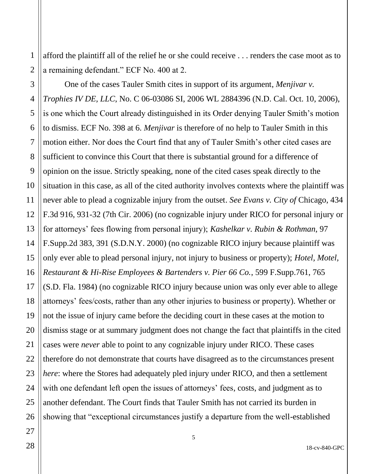afford the plaintiff all of the relief he or she could receive . . . renders the case moot as to a remaining defendant." ECF No. 400 at 2.

One of the cases Tauler Smith cites in support of its argument, *Menjivar v. Trophies IV DE, LLC*, No. C 06-03086 SI, 2006 WL 2884396 (N.D. Cal. Oct. 10, 2006), is one which the Court already distinguished in its Order denying Tauler Smith's motion to dismiss. ECF No. 398 at 6. *Menjivar* is therefore of no help to Tauler Smith in this motion either. Nor does the Court find that any of Tauler Smith's other cited cases are sufficient to convince this Court that there is substantial ground for a difference of opinion on the issue. Strictly speaking, none of the cited cases speak directly to the situation in this case, as all of the cited authority involves contexts where the plaintiff was never able to plead a cognizable injury from the outset. *See Evans v. City of* Chicago, 434 F.3d 916, 931-32 (7th Cir. 2006) (no cognizable injury under RICO for personal injury or for attorneys' fees flowing from personal injury); *Kashelkar v. Rubin & Rothman*, 97 F.Supp.2d 383, 391 (S.D.N.Y. 2000) (no cognizable RICO injury because plaintiff was only ever able to plead personal injury, not injury to business or property); *Hotel, Motel, Restaurant & Hi-Rise Employees & Bartenders v. Pier 66 Co.*, 599 F.Supp.761, 765 (S.D. Fla. 1984) (no cognizable RICO injury because union was only ever able to allege attorneys' fees/costs, rather than any other injuries to business or property). Whether or not the issue of injury came before the deciding court in these cases at the motion to dismiss stage or at summary judgment does not change the fact that plaintiffs in the cited cases were *never* able to point to any cognizable injury under RICO. These cases therefore do not demonstrate that courts have disagreed as to the circumstances present *here*: where the Stores had adequately pled injury under RICO, and then a settlement with one defendant left open the issues of attorneys' fees, costs, and judgment as to another defendant. The Court finds that Tauler Smith has not carried its burden in showing that "exceptional circumstances justify a departure from the well-established

1

2

18-cv-840-GPC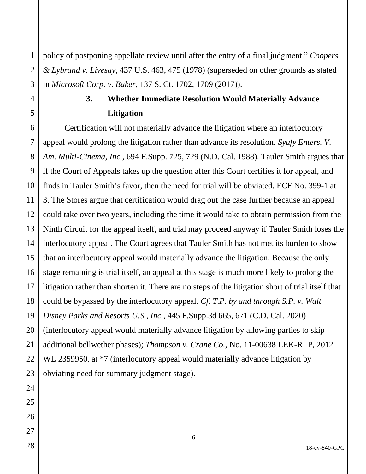1 2 policy of postponing appellate review until after the entry of a final judgment." *Coopers & Lybrand v. Livesay*, 437 U.S. 463, 475 (1978) (superseded on other grounds as stated in *Microsoft Corp. v. Baker*, 137 S. Ct. 1702, 1709 (2017)).

# **3. Whether Immediate Resolution Would Materially Advance Litigation**

Certification will not materially advance the litigation where an interlocutory appeal would prolong the litigation rather than advance its resolution. *Syufy Enters. V. Am. Multi-Cinema, Inc.*, 694 F.Supp. 725, 729 (N.D. Cal. 1988). Tauler Smith argues that if the Court of Appeals takes up the question after this Court certifies it for appeal, and finds in Tauler Smith's favor, then the need for trial will be obviated. ECF No. 399-1 at 3. The Stores argue that certification would drag out the case further because an appeal could take over two years, including the time it would take to obtain permission from the Ninth Circuit for the appeal itself, and trial may proceed anyway if Tauler Smith loses the interlocutory appeal. The Court agrees that Tauler Smith has not met its burden to show that an interlocutory appeal would materially advance the litigation. Because the only stage remaining is trial itself, an appeal at this stage is much more likely to prolong the litigation rather than shorten it. There are no steps of the litigation short of trial itself that could be bypassed by the interlocutory appeal. *Cf. T.P. by and through S.P. v. Walt Disney Parks and Resorts U.S., Inc.*, 445 F.Supp.3d 665, 671 (C.D. Cal. 2020) (interlocutory appeal would materially advance litigation by allowing parties to skip additional bellwether phases); *Thompson v. Crane Co.*, No. 11-00638 LEK-RLP, 2012 WL 2359950, at  $*7$  (interlocutory appeal would materially advance litigation by obviating need for summary judgment stage).